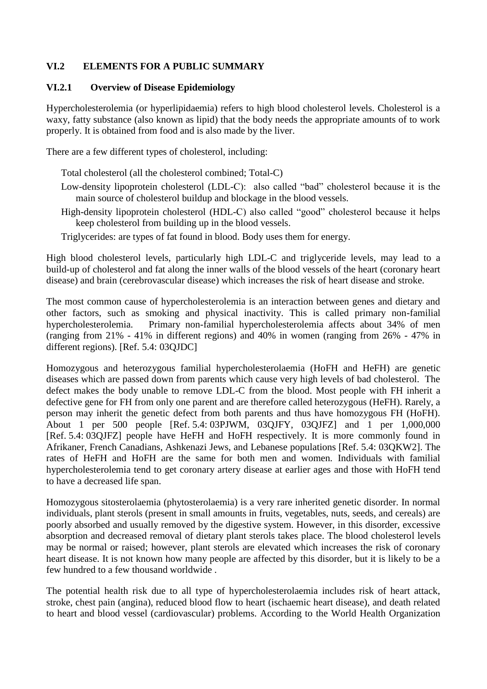### **VI.2 ELEMENTS FOR A PUBLIC SUMMARY**

#### **VI.2.1 Overview of Disease Epidemiology**

Hypercholesterolemia (or hyperlipidaemia) refers to high blood cholesterol levels. Cholesterol is a waxy, fatty substance (also known as lipid) that the body needs the appropriate amounts of to work properly. It is obtained from food and is also made by the liver.

There are a few different types of cholesterol, including:

- Total cholesterol (all the cholesterol combined; Total-C)
- Low-density lipoprotein cholesterol (LDL-C): also called "bad" cholesterol because it is the main source of cholesterol buildup and blockage in the blood vessels.
- High-density lipoprotein cholesterol (HDL-C) also called "good" cholesterol because it helps keep cholesterol from building up in the blood vessels.
- Triglycerides: are types of fat found in blood. Body uses them for energy.

High blood cholesterol levels, particularly high LDL-C and triglyceride levels, may lead to a build-up of cholesterol and fat along the inner walls of the blood vessels of the heart (coronary heart disease) and brain (cerebrovascular disease) which increases the risk of heart disease and stroke.

The most common cause of hypercholesterolemia is an interaction between genes and dietary and other factors, such as smoking and physical inactivity. This is called primary non-familial hypercholesterolemia. Primary non-familial hypercholesterolemia affects about 34% of men (ranging from 21% - 41% in different regions) and 40% in women (ranging from 26% - 47% in different regions). [Ref. 5.4: 03QJDC]

Homozygous and heterozygous familial hypercholesterolaemia (HoFH and HeFH) are genetic diseases which are passed down from parents which cause very high levels of bad cholesterol. The defect makes the body unable to remove LDL-C from the blood. Most people with FH inherit a defective gene for FH from only one parent and are therefore called heterozygous (HeFH). Rarely, a person may inherit the genetic defect from both parents and thus have homozygous FH (HoFH). About 1 per 500 people [Ref. 5.4: 03PJWM, 03QJFY, 03QJFZ] and 1 per 1,000,000 [Ref. 5.4: 03QJFZ] people have HeFH and HoFH respectively. It is more commonly found in Afrikaner, French Canadians, Ashkenazi Jews, and Lebanese populations [Ref. 5.4: 03QKW2]. The rates of HeFH and HoFH are the same for both men and women. Individuals with familial hypercholesterolemia tend to get coronary artery disease at earlier ages and those with HoFH tend to have a decreased life span.

Homozygous sitosterolaemia (phytosterolaemia) is a very rare inherited genetic disorder. In normal individuals, plant sterols (present in small amounts in fruits, vegetables, nuts, seeds, and cereals) are poorly absorbed and usually removed by the digestive system. However, in this disorder, excessive absorption and decreased removal of dietary plant sterols takes place. The blood cholesterol levels may be normal or raised; however, plant sterols are elevated which increases the risk of coronary heart disease. It is not known how many people are affected by this disorder, but it is likely to be a few hundred to a few thousand worldwide .

The potential health risk due to all type of hypercholesterolaemia includes risk of heart attack, stroke, chest pain (angina), reduced blood flow to heart (ischaemic heart disease), and death related to heart and blood vessel (cardiovascular) problems. According to the World Health Organization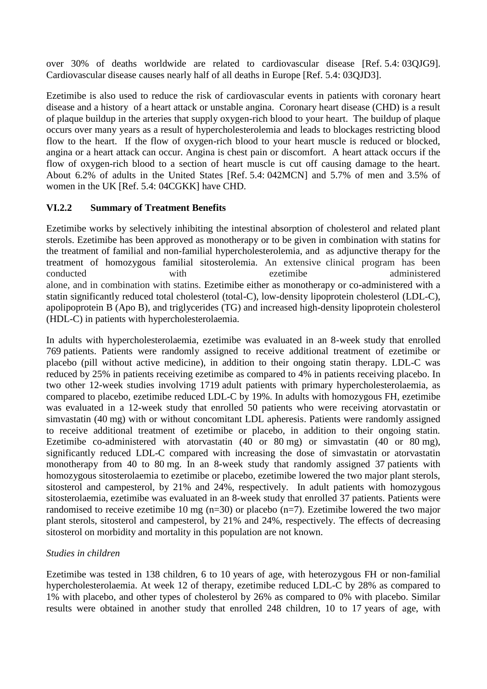over 30% of deaths worldwide are related to cardiovascular disease [Ref. 5.4: 03QJG9]. Cardiovascular disease causes nearly half of all deaths in Europe [Ref. 5.4: 03QJD3].

Ezetimibe is also used to reduce the risk of cardiovascular events in patients with coronary heart disease and a history of a heart attack or unstable angina. Coronary heart disease (CHD) is a result of plaque buildup in the arteries that supply oxygen-rich blood to your heart. The buildup of plaque occurs over many years as a result of hypercholesterolemia and leads to blockages restricting blood flow to the heart. If the flow of oxygen-rich blood to your heart muscle is reduced or blocked, angina or a heart attack can occur. Angina is chest pain or discomfort. A heart attack occurs if the flow of oxygen-rich blood to a section of heart muscle is cut off causing damage to the heart. About 6.2% of adults in the United States [Ref. 5.4: 042MCN] and 5.7% of men and 3.5% of women in the UK [Ref. 5.4: 04CGKK] have CHD.

## **VI.2.2 Summary of Treatment Benefits**

Ezetimibe works by selectively inhibiting the intestinal absorption of cholesterol and related plant sterols. Ezetimibe has been approved as monotherapy or to be given in combination with statins for the treatment of familial and non-familial hypercholesterolemia, and as adjunctive therapy for the treatment of homozygous familial sitosterolemia. An extensive clinical program has been conducted with ezetimibe administered alone, and in combination with statins. Ezetimibe either as monotherapy or co-administered with a statin significantly reduced total cholesterol (total-C), low-density lipoprotein cholesterol (LDL-C), apolipoprotein B (Apo B), and triglycerides (TG) and increased high-density lipoprotein cholesterol (HDL-C) in patients with hypercholesterolaemia.

In adults with hypercholesterolaemia, ezetimibe was evaluated in an 8-week study that enrolled 769 patients. Patients were randomly assigned to receive additional treatment of ezetimibe or placebo (pill without active medicine), in addition to their ongoing statin therapy. LDL-C was reduced by 25% in patients receiving ezetimibe as compared to 4% in patients receiving placebo. In two other 12-week studies involving 1719 adult patients with primary hypercholesterolaemia, as compared to placebo, ezetimibe reduced LDL-C by 19%. In adults with homozygous FH, ezetimibe was evaluated in a 12-week study that enrolled 50 patients who were receiving atorvastatin or simvastatin (40 mg) with or without concomitant LDL apheresis. Patients were randomly assigned to receive additional treatment of ezetimibe or placebo, in addition to their ongoing statin. Ezetimibe co-administered with atorvastatin (40 or 80 mg) or simvastatin (40 or 80 mg), significantly reduced LDL-C compared with increasing the dose of simvastatin or atorvastatin monotherapy from 40 to 80 mg. In an 8-week study that randomly assigned 37 patients with homozygous sitosterolaemia to ezetimibe or placebo, ezetimibe lowered the two major plant sterols, sitosterol and campesterol, by 21% and 24%, respectively. In adult patients with homozygous sitosterolaemia, ezetimibe was evaluated in an 8-week study that enrolled 37 patients. Patients were randomised to receive ezetimibe 10 mg  $(n=30)$  or placebo  $(n=7)$ . Ezetimibe lowered the two major plant sterols, sitosterol and campesterol, by 21% and 24%, respectively. The effects of decreasing sitosterol on morbidity and mortality in this population are not known.

## *Studies in children*

Ezetimibe was tested in 138 children, 6 to 10 years of age, with heterozygous FH or non-familial hypercholesterolaemia. At week 12 of therapy, ezetimibe reduced LDL-C by 28% as compared to 1% with placebo, and other types of cholesterol by 26% as compared to 0% with placebo. Similar results were obtained in another study that enrolled 248 children, 10 to 17 years of age, with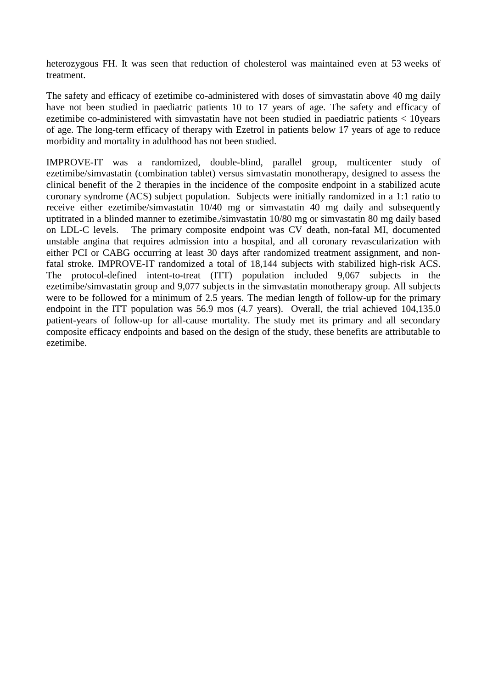heterozygous FH. It was seen that reduction of cholesterol was maintained even at 53 weeks of treatment.

The safety and efficacy of ezetimibe co-administered with doses of simvastatin above 40 mg daily have not been studied in paediatric patients 10 to 17 years of age. The safety and efficacy of ezetimibe co-administered with simvastatin have not been studied in paediatric patients < 10years of age. The long-term efficacy of therapy with Ezetrol in patients below 17 years of age to reduce morbidity and mortality in adulthood has not been studied.

IMPROVE-IT was a randomized, double-blind, parallel group, multicenter study of ezetimibe/simvastatin (combination tablet) versus simvastatin monotherapy, designed to assess the clinical benefit of the 2 therapies in the incidence of the composite endpoint in a stabilized acute coronary syndrome (ACS) subject population. Subjects were initially randomized in a 1:1 ratio to receive either ezetimibe/simvastatin 10/40 mg or simvastatin 40 mg daily and subsequently uptitrated in a blinded manner to ezetimibe./simvastatin 10/80 mg or simvastatin 80 mg daily based on LDL-C levels. The primary composite endpoint was CV death, non-fatal MI, documented unstable angina that requires admission into a hospital, and all coronary revascularization with either PCI or CABG occurring at least 30 days after randomized treatment assignment, and nonfatal stroke. IMPROVE-IT randomized a total of 18,144 subjects with stabilized high-risk ACS. The protocol-defined intent-to-treat (ITT) population included 9,067 subjects in the ezetimibe/simvastatin group and 9,077 subjects in the simvastatin monotherapy group. All subjects were to be followed for a minimum of 2.5 years. The median length of follow-up for the primary endpoint in the ITT population was 56.9 mos (4.7 years). Overall, the trial achieved 104,135.0 patient-years of follow-up for all-cause mortality. The study met its primary and all secondary composite efficacy endpoints and based on the design of the study, these benefits are attributable to ezetimibe.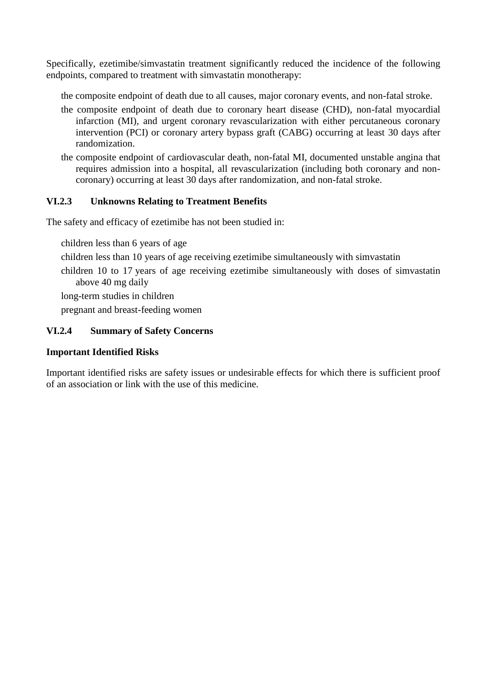Specifically, ezetimibe/simvastatin treatment significantly reduced the incidence of the following endpoints, compared to treatment with simvastatin monotherapy:

the composite endpoint of death due to all causes, major coronary events, and non-fatal stroke.

- the composite endpoint of death due to coronary heart disease (CHD), non-fatal myocardial infarction (MI), and urgent coronary revascularization with either percutaneous coronary intervention (PCI) or coronary artery bypass graft (CABG) occurring at least 30 days after randomization.
- the composite endpoint of cardiovascular death, non-fatal MI, documented unstable angina that requires admission into a hospital, all revascularization (including both coronary and noncoronary) occurring at least 30 days after randomization, and non-fatal stroke.

## **VI.2.3 Unknowns Relating to Treatment Benefits**

The safety and efficacy of ezetimibe has not been studied in:

children less than 6 years of age

children less than 10 years of age receiving ezetimibe simultaneously with simvastatin

children 10 to 17 years of age receiving ezetimibe simultaneously with doses of simvastatin above 40 mg daily

long-term studies in children

pregnant and breast-feeding women

## **VI.2.4 Summary of Safety Concerns**

## **Important Identified Risks**

Important identified risks are safety issues or undesirable effects for which there is sufficient proof of an association or link with the use of this medicine.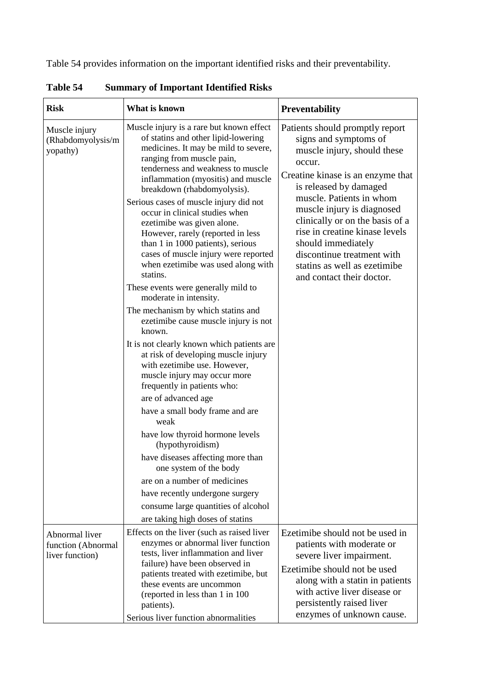Table 54 provides information on the important identified risks and their preventability.

| <b>Risk</b>                                             | What is known                                                                                                                                                                                                                                                                                                                                                                                                                                                                                                                                                                                                                                                                                                                                                                                                                                                                                                                                                                                                                                                                                                                                        | <b>Preventability</b>                                                                                                                                                                                                                                                                                                                                                                                            |  |
|---------------------------------------------------------|------------------------------------------------------------------------------------------------------------------------------------------------------------------------------------------------------------------------------------------------------------------------------------------------------------------------------------------------------------------------------------------------------------------------------------------------------------------------------------------------------------------------------------------------------------------------------------------------------------------------------------------------------------------------------------------------------------------------------------------------------------------------------------------------------------------------------------------------------------------------------------------------------------------------------------------------------------------------------------------------------------------------------------------------------------------------------------------------------------------------------------------------------|------------------------------------------------------------------------------------------------------------------------------------------------------------------------------------------------------------------------------------------------------------------------------------------------------------------------------------------------------------------------------------------------------------------|--|
| Muscle injury<br>(Rhabdomyolysis/m<br>yopathy)          | Muscle injury is a rare but known effect<br>of statins and other lipid-lowering<br>medicines. It may be mild to severe,<br>ranging from muscle pain,<br>tenderness and weakness to muscle<br>inflammation (myositis) and muscle<br>breakdown (rhabdomyolysis).<br>Serious cases of muscle injury did not<br>occur in clinical studies when<br>ezetimibe was given alone.<br>However, rarely (reported in less<br>than 1 in 1000 patients), serious<br>cases of muscle injury were reported<br>when ezetimibe was used along with<br>statins.<br>These events were generally mild to<br>moderate in intensity.<br>The mechanism by which statins and<br>ezetimibe cause muscle injury is not<br>known.<br>It is not clearly known which patients are<br>at risk of developing muscle injury<br>with ezetimibe use. However,<br>muscle injury may occur more<br>frequently in patients who:<br>are of advanced age<br>have a small body frame and are<br>weak<br>have low thyroid hormone levels<br>(hypothyroidism)<br>have diseases affecting more than<br>one system of the body<br>are on a number of medicines<br>have recently undergone surgery | Patients should promptly report<br>signs and symptoms of<br>muscle injury, should these<br>occur.<br>Creatine kinase is an enzyme that<br>is released by damaged<br>muscle. Patients in whom<br>muscle injury is diagnosed<br>clinically or on the basis of a<br>rise in creatine kinase levels<br>should immediately<br>discontinue treatment with<br>statins as well as ezetimibe<br>and contact their doctor. |  |
|                                                         | consume large quantities of alcohol<br>are taking high doses of statins                                                                                                                                                                                                                                                                                                                                                                                                                                                                                                                                                                                                                                                                                                                                                                                                                                                                                                                                                                                                                                                                              |                                                                                                                                                                                                                                                                                                                                                                                                                  |  |
| Abnormal liver<br>function (Abnormal<br>liver function) | Effects on the liver (such as raised liver<br>enzymes or abnormal liver function<br>tests, liver inflammation and liver<br>failure) have been observed in<br>patients treated with ezetimibe, but<br>these events are uncommon<br>(reported in less than 1 in 100)<br>patients).<br>Serious liver function abnormalities                                                                                                                                                                                                                                                                                                                                                                                                                                                                                                                                                                                                                                                                                                                                                                                                                             | Ezetimibe should not be used in<br>patients with moderate or<br>severe liver impairment.<br>Ezetimibe should not be used<br>along with a statin in patients<br>with active liver disease or<br>persistently raised liver<br>enzymes of unknown cause.                                                                                                                                                            |  |

**Table 54 Summary of Important Identified Risks**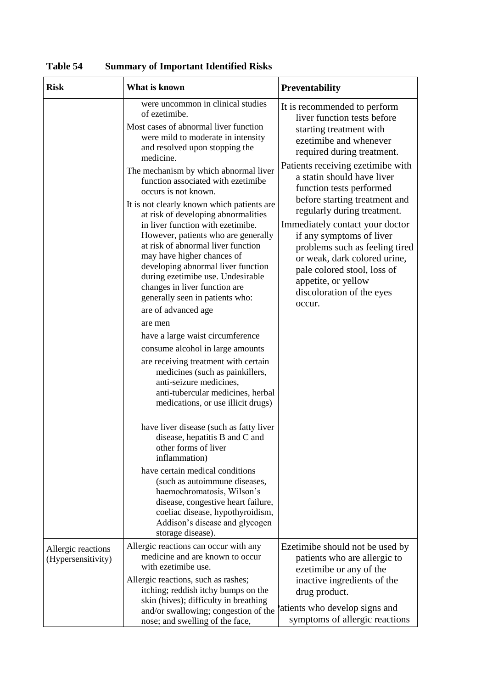| <b>Risk</b>                              | What is known                                                                                                                                                                                                                                                                                                                                                                                                                                                                                                                                                                                                                                                                                                                                                                                                                                                                                                                                                                                                                                                                                                                                                                                                                                                                                                                   | <b>Preventability</b>                                                                                                                                                                                                                                                                                                                                                                                                                                                                                                                       |
|------------------------------------------|---------------------------------------------------------------------------------------------------------------------------------------------------------------------------------------------------------------------------------------------------------------------------------------------------------------------------------------------------------------------------------------------------------------------------------------------------------------------------------------------------------------------------------------------------------------------------------------------------------------------------------------------------------------------------------------------------------------------------------------------------------------------------------------------------------------------------------------------------------------------------------------------------------------------------------------------------------------------------------------------------------------------------------------------------------------------------------------------------------------------------------------------------------------------------------------------------------------------------------------------------------------------------------------------------------------------------------|---------------------------------------------------------------------------------------------------------------------------------------------------------------------------------------------------------------------------------------------------------------------------------------------------------------------------------------------------------------------------------------------------------------------------------------------------------------------------------------------------------------------------------------------|
|                                          | were uncommon in clinical studies<br>of ezetimibe.<br>Most cases of abnormal liver function<br>were mild to moderate in intensity<br>and resolved upon stopping the<br>medicine.<br>The mechanism by which abnormal liver<br>function associated with ezetimibe<br>occurs is not known.<br>It is not clearly known which patients are<br>at risk of developing abnormalities<br>in liver function with ezetimibe.<br>However, patients who are generally<br>at risk of abnormal liver function<br>may have higher chances of<br>developing abnormal liver function<br>during ezetimibe use. Undesirable<br>changes in liver function are<br>generally seen in patients who:<br>are of advanced age<br>are men<br>have a large waist circumference<br>consume alcohol in large amounts<br>are receiving treatment with certain<br>medicines (such as painkillers,<br>anti-seizure medicines,<br>anti-tubercular medicines, herbal<br>medications, or use illicit drugs)<br>have liver disease (such as fatty liver<br>disease, hepatitis B and C and<br>other forms of liver<br>inflammation)<br>have certain medical conditions<br>(such as autoimmune diseases,<br>haemochromatosis, Wilson's<br>disease, congestive heart failure,<br>coeliac disease, hypothyroidism,<br>Addison's disease and glycogen<br>storage disease). | It is recommended to perform<br>liver function tests before<br>starting treatment with<br>ezetimibe and whenever<br>required during treatment.<br>Patients receiving ezetimibe with<br>a statin should have liver<br>function tests performed<br>before starting treatment and<br>regularly during treatment.<br>Immediately contact your doctor<br>if any symptoms of liver<br>problems such as feeling tired<br>or weak, dark colored urine,<br>pale colored stool, loss of<br>appetite, or yellow<br>discoloration of the eyes<br>occur. |
| Allergic reactions<br>(Hypersensitivity) | Allergic reactions can occur with any<br>medicine and are known to occur<br>with ezetimibe use.<br>Allergic reactions, such as rashes;<br>itching; reddish itchy bumps on the<br>skin (hives); difficulty in breathing<br>and/or swallowing; congestion of the<br>nose; and swelling of the face,                                                                                                                                                                                                                                                                                                                                                                                                                                                                                                                                                                                                                                                                                                                                                                                                                                                                                                                                                                                                                               | Ezetimibe should not be used by<br>patients who are allergic to<br>ezetimibe or any of the<br>inactive ingredients of the<br>drug product.<br>atients who develop signs and<br>symptoms of allergic reactions                                                                                                                                                                                                                                                                                                                               |

**Table 54 Summary of Important Identified Risks**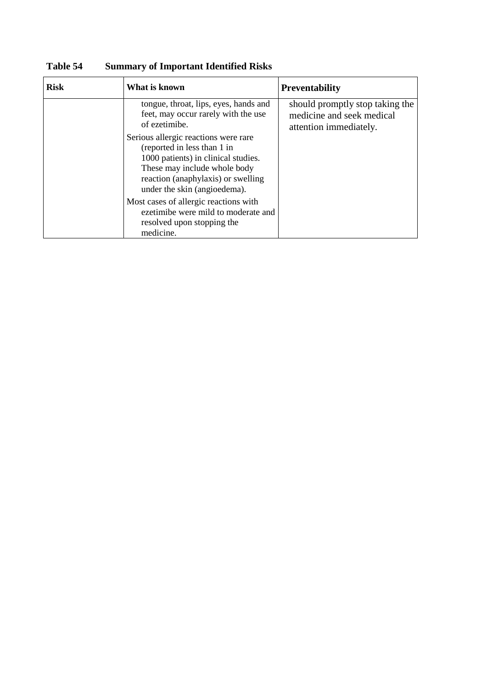| <b>Risk</b> | What is known                                                                                                                                                                                                    | <b>Preventability</b>                                                                  |  |
|-------------|------------------------------------------------------------------------------------------------------------------------------------------------------------------------------------------------------------------|----------------------------------------------------------------------------------------|--|
|             | tongue, throat, lips, eyes, hands and<br>feet, may occur rarely with the use<br>of ezetimibe.                                                                                                                    | should promptly stop taking the<br>medicine and seek medical<br>attention immediately. |  |
|             | Serious allergic reactions were rare<br>(reported in less than 1 in<br>1000 patients) in clinical studies.<br>These may include whole body<br>reaction (anaphylaxis) or swelling<br>under the skin (angioedema). |                                                                                        |  |
|             | Most cases of allergic reactions with<br>ezetimibe were mild to moderate and<br>resolved upon stopping the<br>medicine.                                                                                          |                                                                                        |  |

**Table 54 Summary of Important Identified Risks**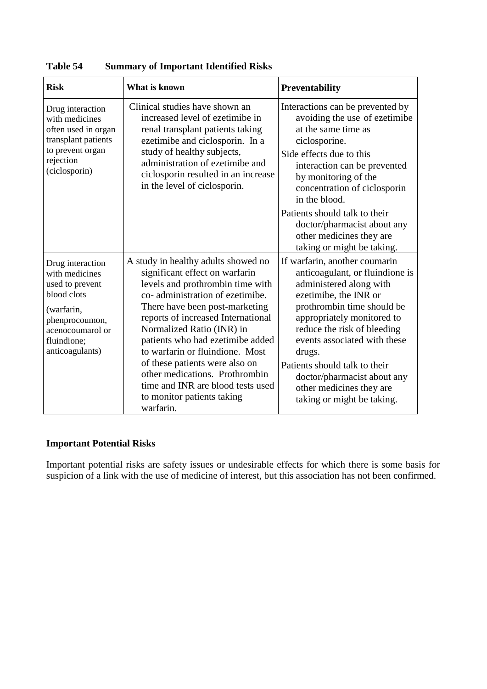| <b>Risk</b>                                                                                                                                                | <b>What is known</b>                                                                                                                                                                                                                                                                                                                                                                                                                                                         | <b>Preventability</b>                                                                                                                                                                                                                                                                                                                                                               |  |
|------------------------------------------------------------------------------------------------------------------------------------------------------------|------------------------------------------------------------------------------------------------------------------------------------------------------------------------------------------------------------------------------------------------------------------------------------------------------------------------------------------------------------------------------------------------------------------------------------------------------------------------------|-------------------------------------------------------------------------------------------------------------------------------------------------------------------------------------------------------------------------------------------------------------------------------------------------------------------------------------------------------------------------------------|--|
| Drug interaction<br>with medicines<br>often used in organ<br>transplant patients<br>to prevent organ<br>rejection<br>(ciclosporin)                         | Clinical studies have shown an<br>increased level of ezetimibe in<br>renal transplant patients taking<br>ezetimibe and ciclosporin. In a<br>study of healthy subjects,<br>administration of ezetimibe and<br>ciclosporin resulted in an increase<br>in the level of ciclosporin.                                                                                                                                                                                             | Interactions can be prevented by<br>avoiding the use of ezetimibe<br>at the same time as<br>ciclosporine.<br>Side effects due to this<br>interaction can be prevented<br>by monitoring of the<br>concentration of ciclosporin<br>in the blood.<br>Patients should talk to their<br>doctor/pharmacist about any<br>other medicines they are<br>taking or might be taking.            |  |
| Drug interaction<br>with medicines<br>used to prevent<br>blood clots<br>(warfarin,<br>phenprocoumon,<br>acenocoumarol or<br>fluindione;<br>anticoagulants) | A study in healthy adults showed no<br>significant effect on warfarin<br>levels and prothrombin time with<br>co-administration of ezetimibe.<br>There have been post-marketing<br>reports of increased International<br>Normalized Ratio (INR) in<br>patients who had ezetimibe added<br>to warfarin or fluindione. Most<br>of these patients were also on<br>other medications. Prothrombin<br>time and INR are blood tests used<br>to monitor patients taking<br>warfarin. | If warfarin, another coumarin<br>anticoagulant, or fluindione is<br>administered along with<br>ezetimibe, the INR or<br>prothrombin time should be<br>appropriately monitored to<br>reduce the risk of bleeding<br>events associated with these<br>drugs.<br>Patients should talk to their<br>doctor/pharmacist about any<br>other medicines they are<br>taking or might be taking. |  |

**Table 54 Summary of Important Identified Risks**

# **Important Potential Risks**

Important potential risks are safety issues or undesirable effects for which there is some basis for suspicion of a link with the use of medicine of interest, but this association has not been confirmed.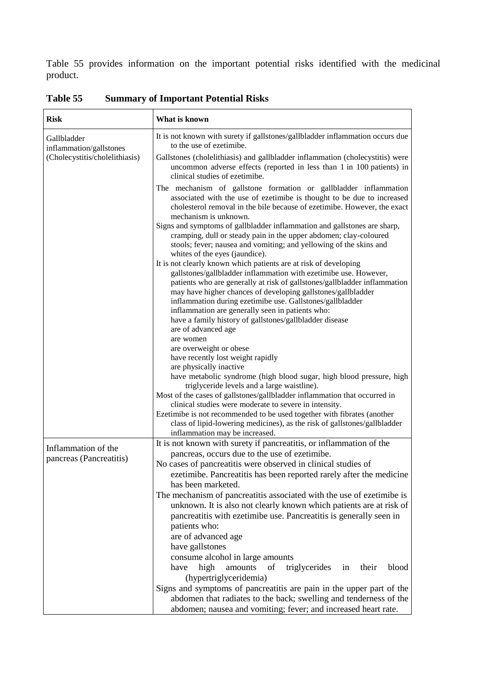Table 55 provides information on the important potential risks identified with the medicinal product.

| <b>Risk</b>                            | What is known                                                                                                                                                                                                                                                                                                                                                                                      |  |  |
|----------------------------------------|----------------------------------------------------------------------------------------------------------------------------------------------------------------------------------------------------------------------------------------------------------------------------------------------------------------------------------------------------------------------------------------------------|--|--|
| Gallbladder<br>inflammation/gallstones | It is not known with surety if gallstones/gallbladder inflammation occurs due<br>to the use of ezetimibe.                                                                                                                                                                                                                                                                                          |  |  |
| (Cholecystitis/cholelithiasis)         | Gallstones (cholelithiasis) and gallbladder inflammation (cholecystitis) were<br>uncommon adverse effects (reported in less than 1 in 100 patients) in<br>clinical studies of ezetimibe.                                                                                                                                                                                                           |  |  |
|                                        | The mechanism of gallstone formation or gallbladder inflammation<br>associated with the use of ezetimibe is thought to be due to increased<br>cholesterol removal in the bile because of ezetimibe. However, the exact<br>mechanism is unknown.                                                                                                                                                    |  |  |
|                                        | Signs and symptoms of gallbladder inflammation and gallstones are sharp,<br>cramping, dull or steady pain in the upper abdomen; clay-coloured<br>stools; fever; nausea and vomiting; and yellowing of the skins and<br>whites of the eyes (jaundice).                                                                                                                                              |  |  |
|                                        | It is not clearly known which patients are at risk of developing<br>gallstones/gallbladder inflammation with ezetimibe use. However,<br>patients who are generally at risk of gallstones/gallbladder inflammation<br>may have higher chances of developing gallstones/gallbladder<br>inflammation during ezetimibe use. Gallstones/gallbladder<br>inflammation are generally seen in patients who: |  |  |
|                                        | have a family history of gallstones/gallbladder disease<br>are of advanced age                                                                                                                                                                                                                                                                                                                     |  |  |
|                                        | are women<br>are overweight or obese                                                                                                                                                                                                                                                                                                                                                               |  |  |
|                                        | have recently lost weight rapidly                                                                                                                                                                                                                                                                                                                                                                  |  |  |
|                                        | are physically inactive<br>have metabolic syndrome (high blood sugar, high blood pressure, high<br>triglyceride levels and a large waistline).                                                                                                                                                                                                                                                     |  |  |
|                                        | Most of the cases of gallstones/gallbladder inflammation that occurred in                                                                                                                                                                                                                                                                                                                          |  |  |
|                                        | clinical studies were moderate to severe in intensity.<br>Ezetimibe is not recommended to be used together with fibrates (another                                                                                                                                                                                                                                                                  |  |  |
|                                        | class of lipid-lowering medicines), as the risk of gallstones/gallbladder<br>inflammation may be increased.                                                                                                                                                                                                                                                                                        |  |  |
| Inflammation of the                    | It is not known with surety if pancreatitis, or inflammation of the                                                                                                                                                                                                                                                                                                                                |  |  |
| pancreas (Pancreatitis)                | pancreas, occurs due to the use of ezetimibe.                                                                                                                                                                                                                                                                                                                                                      |  |  |
|                                        | No cases of pancreatitis were observed in clinical studies of                                                                                                                                                                                                                                                                                                                                      |  |  |
|                                        | ezetimibe. Pancreatitis has been reported rarely after the medicine                                                                                                                                                                                                                                                                                                                                |  |  |
|                                        | has been marketed.<br>The mechanism of pancreatitis associated with the use of ezetimibe is                                                                                                                                                                                                                                                                                                        |  |  |
|                                        | unknown. It is also not clearly known which patients are at risk of                                                                                                                                                                                                                                                                                                                                |  |  |
|                                        | pancreatitis with ezetimibe use. Pancreatitis is generally seen in                                                                                                                                                                                                                                                                                                                                 |  |  |
|                                        | patients who:                                                                                                                                                                                                                                                                                                                                                                                      |  |  |
|                                        | are of advanced age                                                                                                                                                                                                                                                                                                                                                                                |  |  |
|                                        | have gallstones                                                                                                                                                                                                                                                                                                                                                                                    |  |  |
|                                        | consume alcohol in large amounts                                                                                                                                                                                                                                                                                                                                                                   |  |  |
|                                        | of<br>triglycerides<br>have<br>high<br>amounts<br>their<br>in<br>blood<br>(hypertriglyceridemia)                                                                                                                                                                                                                                                                                                   |  |  |
|                                        | Signs and symptoms of pancreatitis are pain in the upper part of the                                                                                                                                                                                                                                                                                                                               |  |  |
|                                        | abdomen that radiates to the back; swelling and tenderness of the                                                                                                                                                                                                                                                                                                                                  |  |  |
|                                        | abdomen; nausea and vomiting; fever; and increased heart rate.                                                                                                                                                                                                                                                                                                                                     |  |  |

**Table 55 Summary of Important Potential Risks**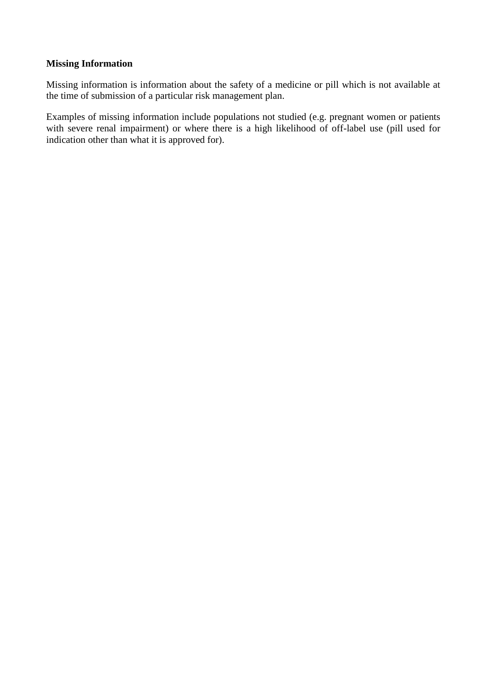## **Missing Information**

Missing information is information about the safety of a medicine or pill which is not available at the time of submission of a particular risk management plan.

Examples of missing information include populations not studied (e.g. pregnant women or patients with severe renal impairment) or where there is a high likelihood of off-label use (pill used for indication other than what it is approved for).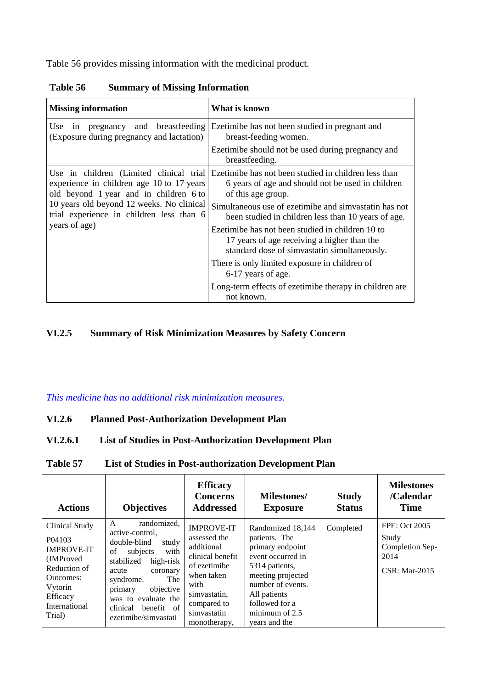Table 56 provides missing information with the medicinal product.

| <b>Missing information</b>                                                                                                     | What is known                                                                                                                                   |
|--------------------------------------------------------------------------------------------------------------------------------|-------------------------------------------------------------------------------------------------------------------------------------------------|
| in pregnancy and breastfeeding<br>Use  <br>(Exposure during pregnancy and lactation)                                           | Ezetimibe has not been studied in pregnant and<br>breast-feeding women.                                                                         |
|                                                                                                                                | Ezetimibe should not be used during pregnancy and<br>breastfeeding.                                                                             |
| Use in children (Limited clinical trial<br>experience in children age 10 to 17 years<br>old beyond 1 year and in children 6 to | Ezetimibe has not been studied in children less than<br>6 years of age and should not be used in children<br>of this age group.                 |
| 10 years old beyond 12 weeks. No clinical<br>trial experience in children less than 6<br>years of age)                         | Simultaneous use of ezetimibe and simvastatin has not<br>been studied in children less than 10 years of age.                                    |
|                                                                                                                                | Ezetimibe has not been studied in children 10 to<br>17 years of age receiving a higher than the<br>standard dose of simvastatin simultaneously. |
|                                                                                                                                | There is only limited exposure in children of<br>6-17 years of age.                                                                             |
|                                                                                                                                | Long-term effects of ezetimibe therapy in children are<br>not known.                                                                            |

**Table 56 Summary of Missing Information**

## **VI.2.5 Summary of Risk Minimization Measures by Safety Concern**

# *This medicine has no additional risk minimization measures.*

## **VI.2.6 Planned Post-Authorization Development Plan**

# **VI.2.6.1 List of Studies in Post-Authorization Development Plan**

## **Table 57 List of Studies in Post-authorization Development Plan**

| <b>Actions</b>                                                                                                                                         | <b>Objectives</b>                                                                                                                                                                                                                                           | <b>Efficacy</b><br><b>Concerns</b><br><b>Addressed</b>                                                                                                                  | <b>Milestones/</b><br><b>Exposure</b>                                                                                                                                                                        | <b>Study</b><br><b>Status</b> | <b>Milestones</b><br>/Calendar<br><b>Time</b>                                    |
|--------------------------------------------------------------------------------------------------------------------------------------------------------|-------------------------------------------------------------------------------------------------------------------------------------------------------------------------------------------------------------------------------------------------------------|-------------------------------------------------------------------------------------------------------------------------------------------------------------------------|--------------------------------------------------------------------------------------------------------------------------------------------------------------------------------------------------------------|-------------------------------|----------------------------------------------------------------------------------|
| Clinical Study<br>P <sub>04103</sub><br><b>IMPROVE-IT</b><br>(IMProved)<br>Reduction of<br>Outcomes:<br>Vytorin<br>Efficacy<br>International<br>Trial) | randomized,<br>A<br>active-control,<br>double-blind<br>study<br>with<br>subjects<br>of<br>high-risk<br>stabilized<br>acute<br>coronary<br>syndrome.<br>The<br>objective<br>primary<br>was to evaluate the<br>clinical<br>benefit of<br>ezetimibe/simvastati | <b>IMPROVE-IT</b><br>assessed the<br>additional<br>clinical benefit<br>of ezetimibe<br>when taken<br>with<br>simvastatin,<br>compared to<br>simvastatin<br>monotherapy. | Randomized 18,144<br>patients. The<br>primary endpoint<br>event occurred in<br>5314 patients,<br>meeting projected<br>number of events.<br>All patients<br>followed for a<br>minimum of 2.5<br>years and the | Completed                     | <b>FPE: Oct 2005</b><br>Study<br>Completion Sep-<br>2014<br><b>CSR: Mar-2015</b> |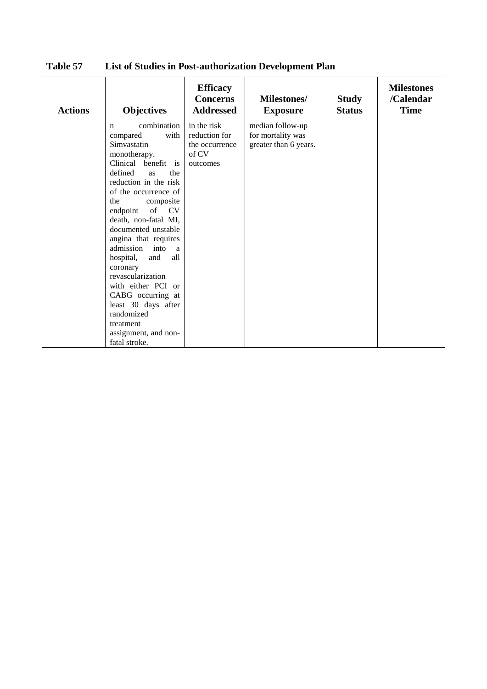| <b>Actions</b> | <b>Objectives</b>                                                                                                                                                                                                                                                                                                                                                                                                                                                                                                                | <b>Efficacy</b><br><b>Concerns</b><br><b>Addressed</b>              | <b>Milestones/</b><br><b>Exposure</b>                          | <b>Study</b><br><b>Status</b> | <b>Milestones</b><br>/Calendar<br><b>Time</b> |
|----------------|----------------------------------------------------------------------------------------------------------------------------------------------------------------------------------------------------------------------------------------------------------------------------------------------------------------------------------------------------------------------------------------------------------------------------------------------------------------------------------------------------------------------------------|---------------------------------------------------------------------|----------------------------------------------------------------|-------------------------------|-----------------------------------------------|
|                | combination<br>$\mathbf n$<br>with<br>compared<br>Simvastatin<br>monotherapy.<br>Clinical benefit is<br>defined<br>the<br><b>as</b><br>reduction in the risk<br>of the occurrence of<br>the<br>composite<br>of CV<br>endpoint<br>death, non-fatal MI,<br>documented unstable<br>angina that requires<br>admission<br>into<br>a<br>all<br>hospital,<br>and<br>coronary<br>revascularization<br>with either PCI or<br>CABG occurring at<br>least 30 days after<br>randomized<br>treatment<br>assignment, and non-<br>fatal stroke. | in the risk<br>reduction for<br>the occurrence<br>of CV<br>outcomes | median follow-up<br>for mortality was<br>greater than 6 years. |                               |                                               |

**Table 57 List of Studies in Post-authorization Development Plan**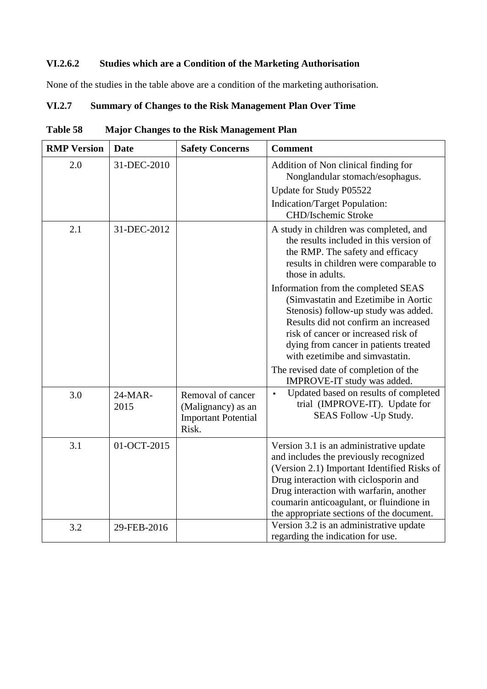# **VI.2.6.2 Studies which are a Condition of the Marketing Authorisation**

None of the studies in the table above are a condition of the marketing authorisation.

# **VI.2.7 Summary of Changes to the Risk Management Plan Over Time**

| <b>RMP Version</b> | <b>Date</b>     | <b>Safety Concerns</b>                  | <b>Comment</b>                                                                                                                                                                                                                                                                                                                                                                                                                                                        |
|--------------------|-----------------|-----------------------------------------|-----------------------------------------------------------------------------------------------------------------------------------------------------------------------------------------------------------------------------------------------------------------------------------------------------------------------------------------------------------------------------------------------------------------------------------------------------------------------|
| 2.0                | 31-DEC-2010     |                                         | Addition of Non clinical finding for<br>Nonglandular stomach/esophagus.<br>Update for Study P05522<br>Indication/Target Population:<br>CHD/Ischemic Stroke                                                                                                                                                                                                                                                                                                            |
| 2.1                | 31-DEC-2012     |                                         | A study in children was completed, and<br>the results included in this version of<br>the RMP. The safety and efficacy<br>results in children were comparable to<br>those in adults.<br>Information from the completed SEAS<br>(Simvastatin and Ezetimibe in Aortic<br>Stenosis) follow-up study was added.<br>Results did not confirm an increased<br>risk of cancer or increased risk of<br>dying from cancer in patients treated<br>with ezetimibe and simvastatin. |
| 3.0                | 24-MAR-<br>2015 | Removal of cancer<br>(Malignancy) as an | The revised date of completion of the<br>IMPROVE-IT study was added.<br>Updated based on results of completed<br>trial (IMPROVE-IT). Update for                                                                                                                                                                                                                                                                                                                       |
|                    |                 | <b>Important Potential</b><br>Risk.     | SEAS Follow - Up Study.                                                                                                                                                                                                                                                                                                                                                                                                                                               |
| 3.1                | 01-OCT-2015     |                                         | Version 3.1 is an administrative update<br>and includes the previously recognized<br>(Version 2.1) Important Identified Risks of<br>Drug interaction with ciclosporin and<br>Drug interaction with warfarin, another<br>coumarin anticoagulant, or fluindione in<br>the appropriate sections of the document.                                                                                                                                                         |
| 3.2                | 29-FEB-2016     |                                         | Version 3.2 is an administrative update<br>regarding the indication for use.                                                                                                                                                                                                                                                                                                                                                                                          |

**Table 58 Major Changes to the Risk Management Plan**